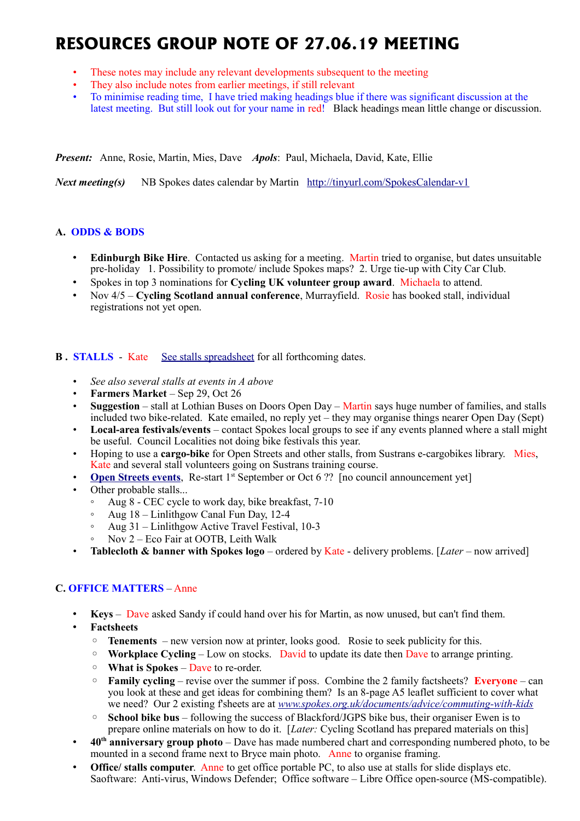# **RESOURCES GROUP NOTE OF 27.06.19 MEETING**

- These notes may include any relevant developments subsequent to the meeting
- They also include notes from earlier meetings, if still relevant
- To minimise reading time, I have tried making headings blue if there was significant discussion at the latest meeting. But still look out for your name in red! Black headings mean little change or discussion.

*Present:* Anne, Rosie, Martin, Mies, Dave *Apols*: Paul, Michaela, David, Kate, Ellie

*Next meeting(s)*NB Spokes dates calendar by Martin <http://tinyurl.com/SpokesCalendar-v1>

# **A. ODDS & BODS**

- **Edinburgh Bike Hire**. Contacted us asking for a meeting. Martin tried to organise, but dates unsuitable pre-holiday 1. Possibility to promote/ include Spokes maps? 2. Urge tie-up with City Car Club.
- Spokes in top 3 nominations for **Cycling UK volunteer group award**. Michaela to attend.
- Nov 4/5 **Cycling Scotland annual conference**, Murrayfield. Rosie has booked stall, individual registrations not yet open.

## **B.** STALLS - Kate [See stalls spreadsheet](https://docs.google.com/spreadsheets/d/1ixmHbC_ROc0P1GdGfFFx5hFzYwe4wZuTg5QcqDY7yWQ/edit?usp=drivesdk) for all forthcoming dates.

- *See also several stalls at events in A above*
- **Farmers Market** Sep 29, Oct 26
- **Suggestion** stall at Lothian Buses on Doors Open Day Martin says huge number of families, and stalls included two bike-related. Kate emailed, no reply yet – they may organise things nearer Open Day (Sept)
- **Local-area festivals/events** contact Spokes local groups to see if any events planned where a stall might be useful. Council Localities not doing bike festivals this year.
- Hoping to use a **cargo-bike** for Open Streets and other stalls, from Sustrans e-cargobikes library. Mies, Kate and several stall volunteers going on Sustrans training course.
- **[Open Streets events](http://www.edinburgh.gov.uk/connectingplaces/info/9/consultation/20/open_streets_consultation)**, Re-start 1<sup>st</sup> September or Oct 6 ?? [no council announcement yet]
- Other probable stalls...
	- Aug 8 CEC cycle to work day, bike breakfast, 7-10
	- Aug 18 Linlithgow Canal Fun Day, 12-4
	- Aug 31 Linlithgow Active Travel Festival, 10-3
	- Nov 2 Eco Fair at OOTB, Leith Walk
- **Tablecloth & banner with Spokes logo** ordered by Kate delivery problems. [*Later* now arrived]

# **C. OFFICE MATTERS** – Anne

- **Keys** Dave asked Sandy if could hand over his for Martin, as now unused, but can't find them.
- **Factsheets**
	- **Tenements**  new version now at printer, looks good. Rosie to seek publicity for this.
	- **Workplace Cycling** Low on stocks. David to update its date then Dave to arrange printing.
	- **What is Spokes** Dave to re-order.
	- **Family cycling** revise over the summer if poss. Combine the 2 family factsheets? **Everyone** can you look at these and get ideas for combining them? Is an 8-page A5 leaflet sufficient to cover what we need? Our 2 existing f'sheets are at *[www.spokes.org.uk/documents/advice/commuting-with-kids](http://www.spokes.org.uk/documents/advice/commuting-with-kids/)*
	- **School bike bus** following the success of Blackford/JGPS bike bus, their organiser Ewen is to prepare online materials on how to do it. [*Later:* Cycling Scotland has prepared materials on this]
- **40th anniversary group photo** Dave has made numbered chart and corresponding numbered photo, to be mounted in a second frame next to Bryce main photo. Anne to organise framing.
- **Office/ stalls computer**. Anne to get office portable PC, to also use at stalls for slide displays etc. Saoftware: Anti-virus, Windows Defender; Office software – Libre Office open-source (MS-compatible).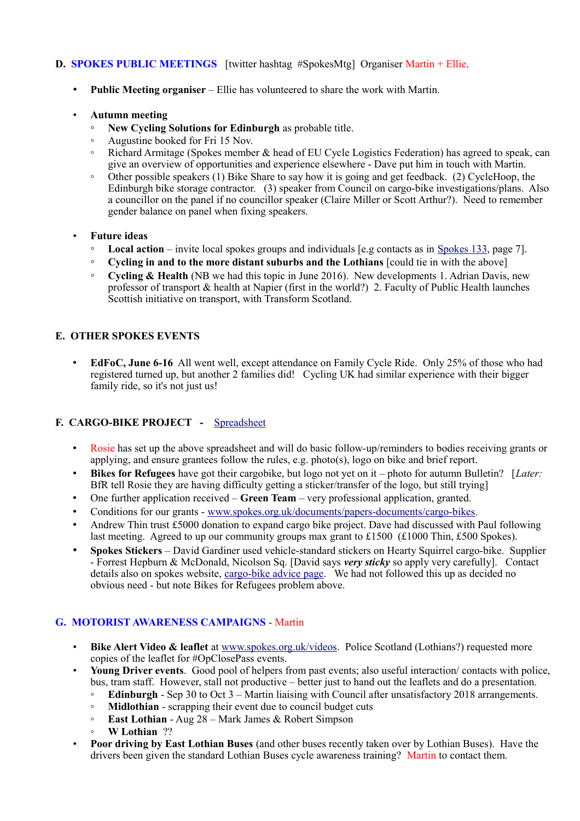# **D. SPOKES PUBLIC MEETINGS** [twitter hashtag #SpokesMtg] Organiser Martin + Ellie.

- **Public Meeting organiser** Ellie has volunteered to share the work with Martin.
- **Autumn meeting**
	- **New Cycling Solutions for Edinburgh** as probable title.
	- Augustine booked for Fri 15 Nov.
	- Richard Armitage (Spokes member & head of EU Cycle Logistics Federation) has agreed to speak, can give an overview of opportunities and experience elsewhere - Dave put him in touch with Martin.
	- Other possible speakers (1) Bike Share to say how it is going and get feedback. (2) CycleHoop, the Edinburgh bike storage contractor. (3) speaker from Council on cargo-bike investigations/plans. Also a councillor on the panel if no councillor speaker (Claire Miller or Scott Arthur?). Need to remember gender balance on panel when fixing speakers.
- **Future ideas**
	- **Local action** invite local spokes groups and individuals [e.g contacts as in [Spokes 133,](http://www.spokes.org.uk/wp-content/uploads/2019/02/pall-at-95.pdf) page 7].
	- **Cycling in and to the more distant suburbs and the Lothians** [could tie in with the above]
	- **Cycling & Health** (NB we had this topic in June 2016). New developments 1. Adrian Davis, new professor of transport & health at Napier (first in the world?) 2. Faculty of Public Health launches Scottish initiative on transport, with Transform Scotland.

# **E. OTHER SPOKES EVENTS**

• **EdFoC, June 6-16** All went well, except attendance on Family Cycle Ride. Only 25% of those who had registered turned up, but another 2 families did! Cycling UK had similar experience with their bigger family ride, so it's not just us!

# **F. CARGO-BIKE PROJECT -** [Spreadsheet](https://drive.google.com/drive/folders/1BuWIrWRXwrDyFuw-nDA8n9ms37oAeKwH)

- Rosie has set up the above spreadsheet and will do basic follow-up/reminders to bodies receiving grants or applying, and ensure grantees follow the rules, e.g. photo(s), logo on bike and brief report.
- **Bikes for Refugees** have got their cargobike, but logo not yet on it photo for autumn Bulletin? [*Later:* BfR tell Rosie they are having difficulty getting a sticker/transfer of the logo, but still trying]
- One further application received **Green Team** very professional application, granted.
- Conditions for our grants - [www.spokes.org.uk/documents/papers-documents/cargo-bikes.](http://www.spokes.org.uk/documents/papers-documents/cargo-bikes)
- Andrew Thin trust £5000 donation to expand cargo bike project. Dave had discussed with Paul following last meeting. Agreed to up our community groups max grant to £1500 (£1000 Thin, £500 Spokes).
- **Spokes Stickers** David Gardiner used vehicle-standard stickers on Hearty Squirrel cargo-bike. Supplier - Forrest Hepburn & McDonald, Nicolson Sq. [David says *very sticky* so apply very carefully]. Contact details also on spokes website, [cargo-bike advice page.](http://www.spokes.org.uk/documents/advice/cargo-bikes/) We had not followed this up as decided no obvious need - but note Bikes for Refugees problem above.

# **G. MOTORIST AWARENESS CAMPAIGNS** - Martin

- **Bike Alert Video & leaflet** at [www.spokes.org.uk/videos.](http://www.spokes.org.uk/videos) Police Scotland (Lothians?) requested more copies of the leaflet for #OpClosePass events.
- **Young Driver events**. Good pool of helpers from past events; also useful interaction/ contacts with police, bus, tram staff. However, stall not productive – better just to hand out the leaflets and do a presentation.
	- **Edinburgh** Sep 30 to Oct 3 Martin liaising with Council after unsatisfactory 2018 arrangements.
	- **Midlothian** scrapping their event due to council budget cuts
	- **East Lothian** Aug 28 Mark James & Robert Simpson
	- **W Lothian** ??
- **Poor driving by East Lothian Buses** (and other buses recently taken over by Lothian Buses). Have the drivers been given the standard Lothian Buses cycle awareness training? Martin to contact them.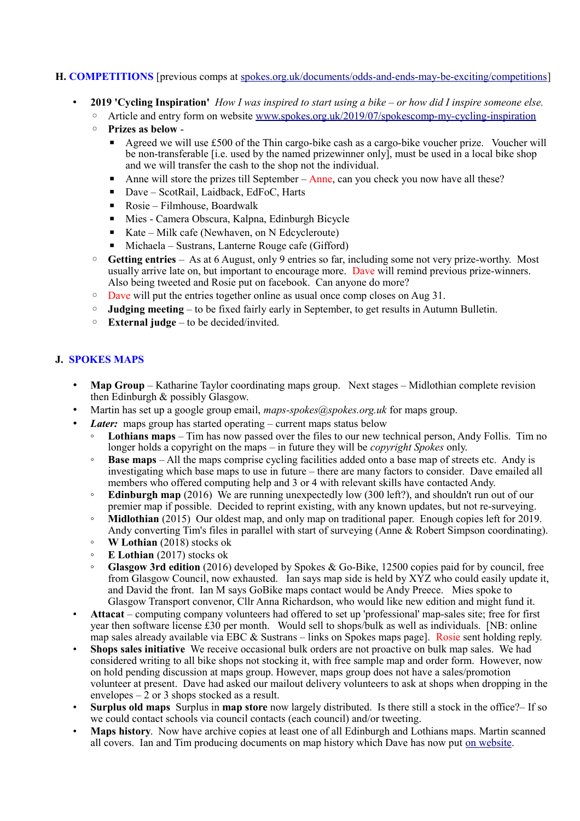# **H. COMPETITIONS** [previous comps at [spokes.org.uk/documents/odds-and-ends-may-be-exciting/competitions\]](http://www.spokes.org.uk/documents/odds-and-ends-may-be-exciting/competitions/)

- **2019 'Cycling Inspiration'** *How I was inspired to start using a bike or how did I inspire someone else.*  ◦ Article and entry form on website [www.spokes.org.uk/2019/07/spokescomp-my-cycling-inspiration](http://www.spokes.org.uk/2019/07/spokescomp-my-cycling-inspiration/)
	-
	- **Prizes as below**
		- **Example 3** Agreed we will use £500 of the Thin cargo-bike cash as a cargo-bike voucher prize. Voucher will be non-transferable [i.e. used by the named prizewinner only], must be used in a local bike shop and we will transfer the cash to the shop not the individual.
		- $\blacksquare$  Anne will store the prizes till September Anne, can you check you now have all these?
		- Dave ScotRail, Laidback, EdFoC, Harts
		- Rosie Filmhouse, Boardwalk
		- Mies Camera Obscura, Kalpna, Edinburgh Bicycle
		- Kate Milk cafe (Newhaven, on N Edcycleroute)
		- $\blacksquare$  Michaela Sustrans, Lanterne Rouge cafe (Gifford)
	- **Getting entries** As at 6 August, only 9 entries so far, including some not very prize-worthy. Most usually arrive late on, but important to encourage more. Dave will remind previous prize-winners. Also being tweeted and Rosie put on facebook. Can anyone do more?
	- Dave will put the entries together online as usual once comp closes on Aug 31.
	- **Judging meeting** to be fixed fairly early in September, to get results in Autumn Bulletin.
	- **External judge** to be decided/invited.

# **J. SPOKES MAPS**

- **Map Group** Katharine Taylor coordinating maps group. Next stages Midlothian complete revision then Edinburgh & possibly Glasgow.
- Martin has set up a google group email, *maps-spokes@spokes.org.uk* for maps group.
	- *Later:* maps group has started operating current maps status below
		- **Lothians maps** Tim has now passed over the files to our new technical person, Andy Follis. Tim no longer holds a copyright on the maps – in future they will be *copyright Spokes* only.
		- **Base maps** All the maps comprise cycling facilities added onto a base map of streets etc. Andy is investigating which base maps to use in future – there are many factors to consider. Dave emailed all members who offered computing help and 3 or 4 with relevant skills have contacted Andy.
		- **Edinburgh map** (2016) We are running unexpectedly low (300 left?), and shouldn't run out of our premier map if possible. Decided to reprint existing, with any known updates, but not re-surveying.
		- **Midlothian** (2015) Our oldest map, and only map on traditional paper. Enough copies left for 2019. Andy converting Tim's files in parallel with start of surveying (Anne & Robert Simpson coordinating).
		- **W Lothian** (2018) stocks ok
		- **E Lothian** (2017) stocks ok
		- **Glasgow 3rd edition** (2016) developed by Spokes & Go-Bike, 12500 copies paid for by council, free from Glasgow Council, now exhausted. Ian says map side is held by XYZ who could easily update it, and David the front. Ian M says GoBike maps contact would be Andy Preece. Mies spoke to Glasgow Transport convenor, Cllr Anna Richardson, who would like new edition and might fund it.
- **Attacat** computing company volunteers had offered to set up 'professional' map-sales site; free for first year then software license £30 per month. Would sell to shops/bulk as well as individuals. [NB: online map sales already available via EBC & Sustrans – links on Spokes maps page]. Rosie sent holding reply.
- **Shops sales initiative** We receive occasional bulk orders are not proactive on bulk map sales. We had considered writing to all bike shops not stocking it, with free sample map and order form. However, now on hold pending discussion at maps group. However, maps group does not have a sales/promotion volunteer at present. Dave had asked our mailout delivery volunteers to ask at shops when dropping in the envelopes – 2 or 3 shops stocked as a result.
- **Surplus old maps** Surplus in **map store** now largely distributed. Is there still a stock in the office?– If so we could contact schools via council contacts (each council) and/or tweeting.
- **Maps history**. Now have archive copies at least one of all Edinburgh and Lothians maps. Martin scanned all covers. Ian and Tim producing documents on map history which Dave has now put [on website.](http://www.spokes.org.uk/spokes-maps/#Old)